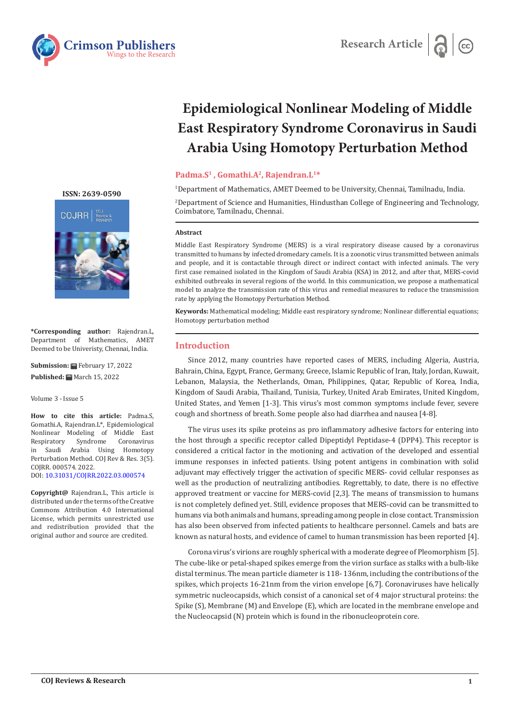



# **Epidemiological Nonlinear Modeling of Middle East Respiratory Syndrome Coronavirus in Saudi Arabia Using Homotopy Perturbation Method**

#### Padma.S<sup>1</sup>, Gomathi.A<sup>2</sup>, Rajendran.L<sup>1\*</sup>

1 Department of Mathematics, AMET Deemed to be University, Chennai, Tamilnadu, India.

2 Department of Science and Humanities, Hindusthan College of Engineering and Technology, Coimbatore, Tamilnadu, Chennai.

#### **Abstract**

Middle East Respiratory Syndrome (MERS) is a viral respiratory disease caused by a coronavirus transmitted to humans by infected dromedary camels. It is a zoonotic virus transmitted between animals and people, and it is contactable through direct or indirect contact with infected animals. The very first case remained isolated in the Kingdom of Saudi Arabia (KSA) in 2012, and after that, MERS-covid exhibited outbreaks in several regions of the world. In this communication, we propose a mathematical model to analyze the transmission rate of this virus and remedial measures to reduce the transmission rate by applying the Homotopy Perturbation Method.

**Keywords:** Mathematical modeling; Middle east respiratory syndrome; Nonlinear differential equations; Homotopy perturbation method

#### **Introduction**

Since 2012, many countries have reported cases of MERS, including Algeria, Austria, Bahrain, China, Egypt, France, Germany, Greece, Islamic Republic of Iran, Italy, Jordan, Kuwait, Lebanon, Malaysia, the Netherlands, Oman, Philippines, Qatar, Republic of Korea, India, Kingdom of Saudi Arabia, Thailand, Tunisia, Turkey, United Arab Emirates, United Kingdom, United States, and Yemen [1-3]. This virus's most common symptoms include fever, severe cough and shortness of breath. Some people also had diarrhea and nausea [4-8].

The virus uses its spike proteins as pro inflammatory adhesive factors for entering into the host through a specific receptor called Dipeptidyl Peptidase-4 (DPP4). This receptor is considered a critical factor in the motioning and activation of the developed and essential immune responses in infected patients. Using potent antigens in combination with solid adjuvant may effectively trigger the activation of specific MERS- covid cellular responses as well as the production of neutralizing antibodies. Regrettably, to date, there is no effective approved treatment or vaccine for MERS-covid [2,3]. The means of transmission to humans is not completely defined yet. Still, evidence proposes that MERS-covid can be transmitted to humans via both animals and humans, spreading among people in close contact. Transmission has also been observed from infected patients to healthcare personnel. Camels and bats are known as natural hosts, and evidence of camel to human transmission has been reported [4].

Corona virus's virions are roughly spherical with a moderate degree of Pleomorphism [5]. The cube-like or petal-shaped spikes emerge from the virion surface as stalks with a bulb-like distal terminus. The mean particle diameter is 118- 136nm, including the contributions of the spikes, which projects 16-21nm from the virion envelope [6,7]. Coronaviruses have helically symmetric nucleocapsids, which consist of a canonical set of 4 major structural proteins: the Spike (S), Membrane (M) and Envelope (E), which are located in the membrane envelope and the Nucleocapsid (N) protein which is found in the ribonucleoprotein core.

**[ISSN: 2639-0590](https://www.crimsonpublishers.com/cojrr/)**



**\*Corresponding author:** Rajendran.L, Department of Mathematics, AMET Deemed to be Univeristy, Chennai, India.

**Submission:** February 17, 2022 Published: **曲** March 15, 2022

Volume 3 - Issue 5

**How to cite this article:** Padma.S, Gomathi.A, Rajendran.L\*, Epidemiological Nonlinear Modeling of Middle East Coronavirus in Saudi Arabia Using Homotopy Perturbation Method. COJ Rev & Res. 3(5). COJRR. 000574. 2022. DOI: [10.31031/COJRR.2022.03.00057](http://dx.doi.org/10.31031/COJRR.2022.03.000574)4

**Copyright@** Rajendran.L, This article is distributed under the terms of the Creative Commons Attribution 4.0 International License, which permits unrestricted use and redistribution provided that the original author and source are credited.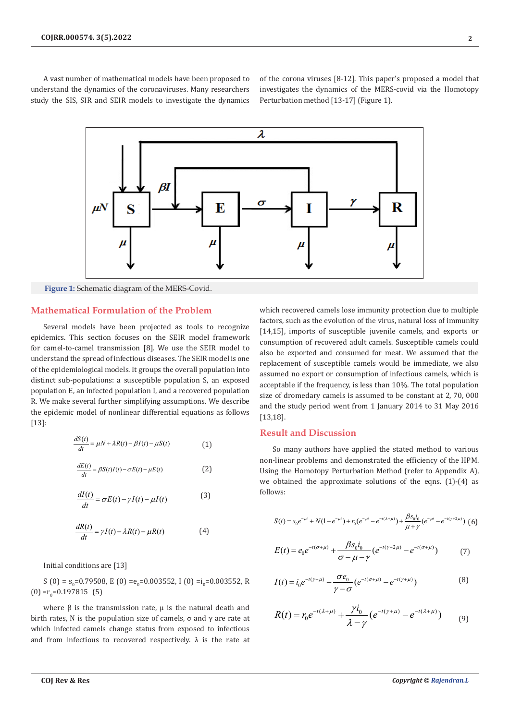A vast number of mathematical models have been proposed to understand the dynamics of the coronaviruses. Many researchers study the SIS, SIR and SEIR models to investigate the dynamics of the corona viruses [8-12]. This paper's proposed a model that investigates the dynamics of the MERS-covid via the Homotopy Perturbation method [13-17] (Figure 1).



**Figure 1:** Schematic diagram of the MERS-Covid.

#### **Mathematical Formulation of the Problem**

Several models have been projected as tools to recognize epidemics. This section focuses on the SEIR model framework for camel-to-camel transmission [8]. We use the SEIR model to understand the spread of infectious diseases. The SEIR model is one of the epidemiological models. It groups the overall population into distinct sub-populations: a susceptible population S, an exposed population E, an infected population I, and a recovered population R. We make several further simplifying assumptions. We describe the epidemic model of nonlinear differential equations as follows [13]:

$$
\frac{dS(t)}{dt} = \mu N + \lambda R(t) - \beta I(t) - \mu S(t)
$$
\n(1)

$$
\frac{dE(t)}{dt} = \beta S(t)I(t) - \sigma E(t) - \mu E(t)
$$
\n(2)

$$
\frac{dI(t)}{dt} = \sigma E(t) - \gamma I(t) - \mu I(t)
$$
\n(3)

$$
\frac{dR(t)}{dt} = \gamma I(t) - \lambda R(t) - \mu R(t) \tag{4}
$$

Initial conditions are [13]

S (0) =  $s_0$ =0.79508, E (0) = $e_0$ =0.003552, I (0) = $i_0$ =0.003552, R  $(0) = r_0 = 0.197815$  (5)

where  $β$  is the transmission rate,  $μ$  is the natural death and birth rates, N is the population size of camels,  $\sigma$  and  $\gamma$  are rate at which infected camels change status from exposed to infectious and from infectious to recovered respectively.  $\lambda$  is the rate at which recovered camels lose immunity protection due to multiple factors, such as the evolution of the virus, natural loss of immunity [14,15], imports of susceptible juvenile camels, and exports or consumption of recovered adult camels. Susceptible camels could also be exported and consumed for meat. We assumed that the replacement of susceptible camels would be immediate, we also assumed no export or consumption of infectious camels, which is acceptable if the frequency, is less than 10%. The total population size of dromedary camels is assumed to be constant at 2, 70, 000 and the study period went from 1 January 2014 to 31 May 2016 [13,18].

# **Result and Discussion**

So many authors have applied the stated method to various non-linear problems and demonstrated the efficiency of the HPM. Using the Homotopy Perturbation Method (refer to Appendix A), we obtained the approximate solutions of the eqns. (1)-(4) as follows:

$$
S(t) = s_0 e^{-\mu t} + N(1 - e^{-\mu t}) + r_0 (e^{-\mu t} - e^{-t(\lambda + \mu)}) + \frac{\beta s_0 i_0}{\mu + \gamma} (e^{-\mu t} - e^{-t(\gamma + 2\mu)})
$$
(6)

$$
E(t) = e_0 e^{-t(\sigma + \mu)} + \frac{\beta s_0 i_0}{\sigma - \mu - \gamma} (e^{-t(\gamma + 2\mu)} - e^{-t(\sigma + \mu)})
$$
(7)

$$
I(t) = i_0 e^{-t(\gamma + \mu)} + \frac{\sigma e_0}{\gamma - \sigma} (e^{-t(\sigma + \mu)} - e^{-t(\gamma + \mu)})
$$
(8)

$$
R(t) = r_0 e^{-t(\lambda + \mu)} + \frac{\gamma i_0}{\lambda - \gamma} (e^{-t(\gamma + \mu)} - e^{-t(\lambda + \mu)}) \tag{9}
$$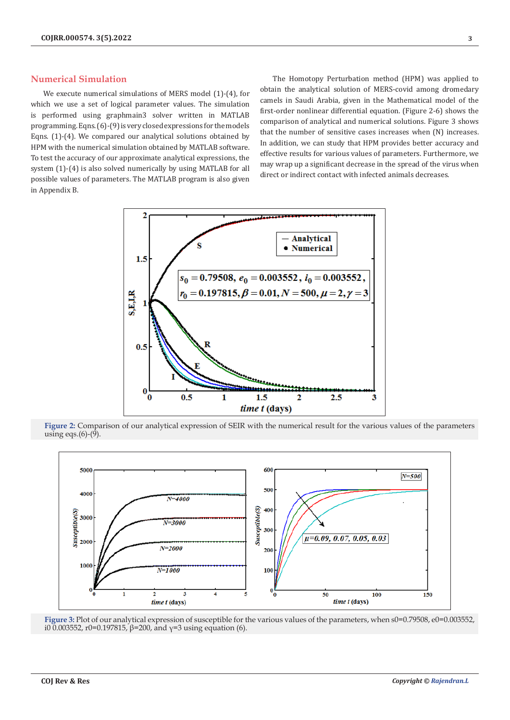#### **Numerical Simulation**

We execute numerical simulations of MERS model (1)-(4), for which we use a set of logical parameter values. The simulation is performed using graphmain3 solver written in MATLAB programming. Eqns. (6)-(9) is very closed expressions for the models Eqns. (1)-(4). We compared our analytical solutions obtained by HPM with the numerical simulation obtained by MATLAB software. To test the accuracy of our approximate analytical expressions, the system (1)-(4) is also solved numerically by using MATLAB for all possible values of parameters. The MATLAB program is also given in Appendix B.

The Homotopy Perturbation method (HPM) was applied to obtain the analytical solution of MERS-covid among dromedary camels in Saudi Arabia, given in the Mathematical model of the first-order nonlinear differential equation. (Figure 2-6) shows the comparison of analytical and numerical solutions. Figure 3 shows that the number of sensitive cases increases when (N) increases. In addition, we can study that HPM provides better accuracy and effective results for various values of parameters. Furthermore, we may wrap up a significant decrease in the spread of the virus when direct or indirect contact with infected animals decreases.



**Figure 2:** Comparison of our analytical expression of SEIR with the numerical result for the various values of the parameters using eqs. $(6)-(9)$ .



Figure 3: Plot of our analytical expression of susceptible for the various values of the parameters, when s0=0.79508, e0=0.003552, i0 0.003552, r0=0.197815,  $β=200$ , and  $γ=3$  using equation (6).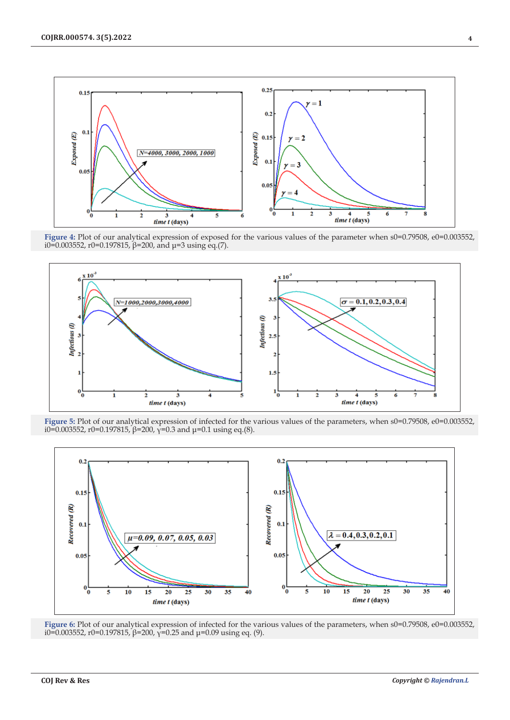

Figure 4: Plot of our analytical expression of exposed for the various values of the parameter when s0=0.79508, e0=0.003552, i0=0.003552, r0=0.197815,  $\beta$ =200, and μ=3 using eq.(7).



Figure 5: Plot of our analytical expression of infected for the various values of the parameters, when  $s0=0.79508$ ,  $e0=0.003552$ , i0=0.003552, r0=0.197815,  $\beta$ =200,  $\gamma$ =0.3 and μ=0.1 using eq.(8).



Figure 6: Plot of our analytical expression of infected for the various values of the parameters, when  $s0=0.79508$ ,  $e0=0.003552$ , i0=0.003552, r0=0.197815,  $\beta$ =200,  $\gamma$ =0.25 and μ=0.09 using eq. (9).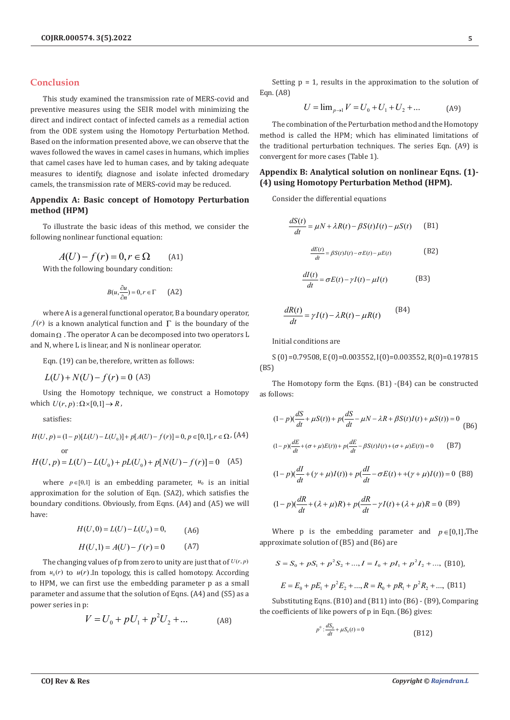# **Conclusion**

This study examined the transmission rate of MERS-covid and preventive measures using the SEIR model with minimizing the direct and indirect contact of infected camels as a remedial action from the ODE system using the Homotopy Perturbation Method. Based on the information presented above, we can observe that the waves followed the waves in camel cases in humans, which implies that camel cases have led to human cases, and by taking adequate measures to identify, diagnose and isolate infected dromedary camels, the transmission rate of MERS-covid may be reduced.

# **Appendix A: Basic concept of Homotopy Perturbation method (HPM)**

To illustrate the basic ideas of this method, we consider the following nonlinear functional equation:

$$
A(U) - f(r) = 0, r \in \Omega \qquad (A1)
$$

With the following boundary condition:

$$
B(u, \frac{\partial u}{\partial n}) = 0, r \in \Gamma \qquad \text{(A2)}
$$

where A is a general functional operator, B a boundary operator, *f(r)* is a known analytical function and  $\Gamma$  is the boundary of the  $domain_{\Omega}$ . The operator A can be decomposed into two operators L and N, where L is linear, and N is nonlinear operator.

Eqn. (19) can be, therefore, written as follows:

 $L(U) + N(U) - f(r) = 0$  (A3)

Using the Homotopy technique, we construct a Homotopy which  $U(r, p): \Omega \times [0,1] \rightarrow R$ ,

satisfies:

$$
H(U, p) = (1 - p)[L(U) - L(U_0)] + p[A(U) - f(r)] = 0, p \in [0, 1], r \in \Omega, (A4)
$$
  
or  

$$
H(U, p) = L(U) - L(U_0) + pL(U_0) + p[N(U) - f(r)] = 0 \quad (A5)
$$

where  $p \in [0,1]$  is an embedding parameter,  $u_0$  is an initial approximation for the solution of Eqn. (SA2), which satisfies the boundary conditions. Obviously, from Eqns. (A4) and (A5) we will have:

$$
H(U,0) = L(U) - L(U_0) = 0,
$$
 (A6)  

$$
H(U,1) = A(U) - f(r) = 0
$$
 (A7)

The changing values of p from zero to unity are just that of  $U(r, p)$ from  $u_0(r)$  to  $u(r)$ . In topology, this is called homotopy. According to HPM, we can first use the embedding parameter p as a small parameter and assume that the solution of Eqns. (A4) and (S5) as a power series in p:

$$
V = U_0 + pU_1 + p^2U_2 + \dots
$$
 (A8)

Setting  $p = 1$ , results in the approximation to the solution of Eqn. (A8)

$$
U = \lim_{p \to 1} V = U_0 + U_1 + U_2 + \dots
$$
 (A9)

The combination of the Perturbation method and the Homotopy method is called the HPM; which has eliminated limitations of the traditional perturbation techniques. The series Eqn. (A9) is convergent for more cases (Table 1).

### **Appendix B: Analytical solution on nonlinear Eqns. (1)- (4) using Homotopy Perturbation Method (HPM).**

Consider the differential equations

$$
\frac{dS(t)}{dt} = \mu N + \lambda R(t) - \beta S(t)I(t) - \mu S(t)
$$
 (B1)

$$
\frac{dE(t)}{dt} = \beta S(t)I(t) - \sigma E(t) - \mu E(t)
$$
 (B2)

$$
\frac{dI(t)}{dt} = \sigma E(t) - \gamma I(t) - \mu I(t)
$$
 (B3)

$$
\frac{dR(t)}{dt} = \gamma I(t) - \lambda R(t) - \mu R(t)
$$
 (B4)

Initial conditions are

S (0) =0.79508, E (0)=0.003552, I(0)=0.003552, R(0)=0.197815 (B5)

The Homotopy form the Eqns. (B1) -(B4) can be constructed as follows:

$$
(1 - p)(\frac{dS}{dt} + \mu S(t)) + p(\frac{dS}{dt} - \mu N - \lambda R + \beta S(t)I(t) + \mu S(t)) = 0
$$
\n(B6)  
\n
$$
(1 - p)(\frac{dE}{dt} + (\sigma + \mu)E(t)) + p(\frac{dE}{dt} - \beta S(t)I(t) + (\sigma + \mu)E(t)) = 0
$$
\n(B7)  
\n
$$
(1 - p)(\frac{dI}{dt} + (\gamma + \mu)I(t)) + p(\frac{dI}{dt} - \sigma E(t) + (\gamma + \mu)I(t)) = 0
$$
 (B8)

$$
(1-p)(\frac{dR}{dt}+(\lambda+\mu)R)+p(\frac{dR}{dt}-\gamma I(t)+(\lambda+\mu)R=0\text{ (B9)}
$$

Where p is the embedding parameter and  $p \in [0,1]$ , The approximate solution of (B5) and (B6) are

$$
S = S_0 + pS_1 + p^2S_2 + ..., I = I_0 + pI_1 + p^2I_2 + ...,
$$
 (B10),  

$$
E = E_0 + pE_1 + p^2E_2 + ..., R = R_0 + pR_1 + p^2R_2 + ...,
$$
 (B11)

Substituting Eqns. (B10) and (B11) into (B6) - (B9), Comparing the coefficients of like powers of p in Eqn. (B6) gives:

$$
p^0: \frac{dS_0}{dt} + \mu S_0(t) = 0
$$
 (B12)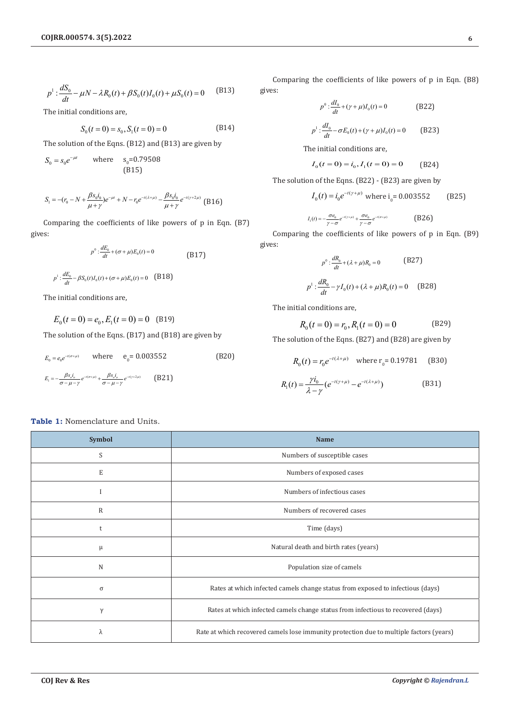$$
p^{1} : \frac{dS_{0}}{dt} - \mu N - \lambda R_{0}(t) + \beta S_{0}(t)I_{0}(t) + \mu S_{0}(t) = 0
$$
 (B13)

The initial conditions are,

$$
S_0(t=0) = s_0, S_1(t=0) = 0
$$
 (B14)

The solution of the Eqns. (B12) and (B13) are given by

$$
S_0 = s_0 e^{-\mu t} \qquad \text{where} \qquad s_0 = 0.79508
$$
  
(B15)

$$
S_1 = -(r_0 - N + \frac{\beta s_0 i_0}{\mu + \gamma})e^{-\mu t} + N - r_0 e^{-t(\lambda + \mu)} - \frac{\beta s_0 i_0}{\mu + \gamma} e^{-t(\gamma + 2\mu)}
$$
(B16)

Comparing the coefficients of like powers of p in Eqn. (B7) gives:

$$
p^{\circ} : \frac{dE_{0}}{dt} + (\sigma + \mu)E_{0}(t) = 0
$$
\n(B17)\n
$$
p^{\circ} : \frac{dE_{0}}{dt} - \beta S_{0}(t)I_{0}(t) + (\sigma + \mu)E_{0}(t) = 0
$$
\n(B18)

The initial conditions are,

$$
E_0(t=0) = e_0, E_1(t=0) = 0
$$
 (B19)

The solution of the Eqns. (B17) and (B18) are given by

$$
E_0 = e_0 e^{-t(\sigma + \mu)} \quad \text{where} \quad e_0 = 0.003552 \tag{B20}
$$
  

$$
E_1 = -\frac{\beta s_o i_o}{\sigma - \mu - \gamma} e^{-t(\sigma + \mu)} + \frac{\beta s_o i_o}{\sigma - \mu - \gamma} e^{-t(\gamma + 2\mu)} \tag{B21}
$$

**Table 1:** Nomenclature and Units.

Comparing the coefficients of like powers of p in Eqn. (B8) gives:

$$
p^{0} : \frac{dI_{0}}{dt} + (\gamma + \mu)I_{0}(t) = 0
$$
 (B22)

$$
p^{1} : \frac{dI_{0}}{dt} - \sigma E_{0}(t) + (\gamma + \mu)I_{0}(t) = 0
$$
 (B23)

The initial conditions are,

$$
I_0(t=0) = i_0, I_1(t=0) = 0
$$
 (B24)

The solution of the Eqns. (B22) - (B23) are given by

$$
I_0(t) = i_0 e^{-t(\gamma + \mu)}
$$
 where  $i_0 = 0.003552$  (B25)

$$
I_1(t) = -\frac{\sigma e_0}{\gamma - \sigma} e^{-i(\gamma + \mu)} + \frac{\sigma e_0}{\gamma - \sigma} e^{-i(\sigma + \mu)}
$$
(B26)

Comparing the coefficients of like powers of p in Eqn. (B9) gives:

$$
p^0: \frac{dR_0}{dt} + (\lambda + \mu)R_0 = 0
$$
 (B27)

$$
p^{1} : \frac{dR_{0}}{dt} - \gamma I_{0}(t) + (\lambda + \mu)R_{0}(t) = 0
$$
 (B28)

The initial conditions are,

$$
R_0(t=0) = r_0, R_1(t=0) = 0
$$
 (B29)

The solution of the Eqns. (B27) and (B28) are given by

$$
R_0(t) = r_0 e^{-t(\lambda + \mu)} \quad \text{where } r_0 = 0.19781 \quad \text{(B30)}
$$

$$
R_1(t) = \frac{\gamma i_0}{\lambda - \gamma} (e^{-t(\gamma + \mu)} - e^{-t(\lambda + \mu)})
$$
(B31)

| <b>Symbol</b> | <b>Name</b>                                                                             |
|---------------|-----------------------------------------------------------------------------------------|
| S             | Numbers of susceptible cases                                                            |
| E             | Numbers of exposed cases                                                                |
|               | Numbers of infectious cases                                                             |
| $\mathbb{R}$  | Numbers of recovered cases                                                              |
| t             | Time (days)                                                                             |
| μ             | Natural death and birth rates (years)                                                   |
| N             | Population size of camels                                                               |
| $\sigma$      | Rates at which infected camels change status from exposed to infectious (days)          |
| $\gamma$      | Rates at which infected camels change status from infectious to recovered (days)        |
| λ             | Rate at which recovered camels lose immunity protection due to multiple factors (years) |